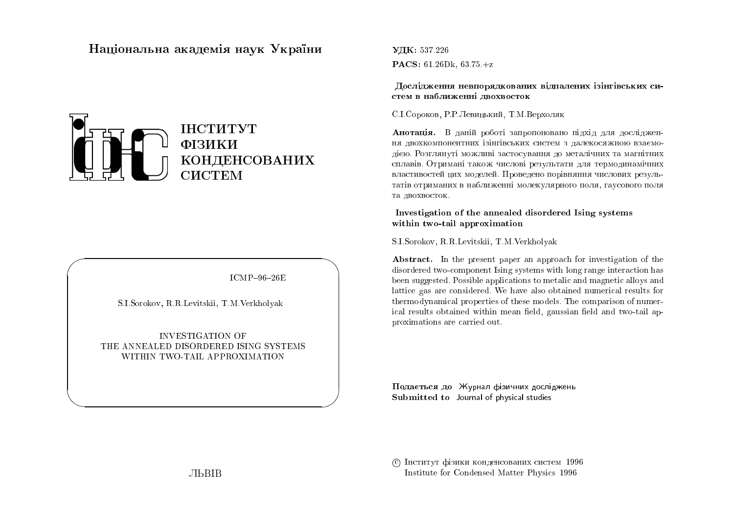# Національна академія наук  $\mathbf{{V}}$ країни



 $ICMP-96-26E$ 

 $\bigwedge$ 

 $\bigcup$ 

S.I.Sorokov, R.R.Levitskii, T.M.Verkholyak

 $\bigg($ 

 $\setminus$ 

INVESTIGATION OF<br>ED DISOPPERED IS THE ANNEALED DISORDERED ISING SYSTEMS WITHIN TWO-TAIL APPROXIMATION

 $\rm{V\!I\!K:}$  537.226  $\mathbf{PACS:} \; 61.26\text{Dk}, \, 63.75. + z$ 

Дослідження невпорядкованих відпалених ізінгівських систем в наближенні двохвосток<br>-

C.I.Сороков, P.P. Левицький, T.M.Bepxоляк

 ${\bf A}$ нотація. В даній роботі запропоновано підхід для дослідження двохкомпонентних ізінгівських систем з далекосяжною взаємо-<br>дією. Розглянуті можливі застосування до металічних та магнітних сплавів. Отримані також числові результати для термодинамічних<br>- 2006 — Саладжинська станці Писля слов'я станці по середня таки властивостей цих моделей. Проведено порівняння числових результатів отриманих в наближенні молекулярного поля, гаусового поля та двохвосток.

## Investigation of the annealed disordered Ising systems within two-tail approximation

S.I.Sorokov, R.R.Levitskii, T.M.Verkholyak

Abstract. In the present paper an approach for investigation of the disordered two-component Ising systems with long range interaction has been suggested. Possible applications to metalic and magnetic alloys and lattice gas are considered. We have also obtained numerical results for thermodynamical properties of these models. The comparison of numerical results obtained within mean field, gaussian field and two-tail approximations are carried out.

Подається до Журнал фізичних досліджень<br>С Submitted to Journal of physical studies

© Інститут фізики конденсованих систем 1996 Institute for Condensed Matter Physics <sup>1996</sup>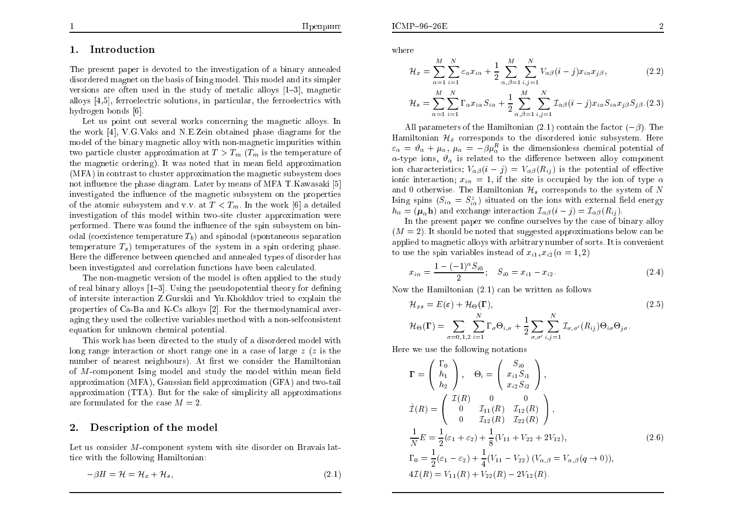#### 1.Introduction

The present paper is devoted to the in vestigation of a binary annealed disordered magne<sup>t</sup> on the basis of Ising model. This model and its simpler versions are often used in the study of metalic alloys  $[1-3]$ , magnetic alloys [4,5], ferroelectric solutions, in particular, the ferroelectrics with hydrogen bonds [6].

Let us point out several works concerning the magnetic alloys. In thework [4], V.G.Vaks and N.E.Zein obtained <sup>p</sup>hase diagrams for the model of the binary magnetic allo y with non-magnetic impurities within two particle cluster approximation at  $T>T_m$  ( $T_m$  is the temperature of<br>the magnetic exterior). It was noted that in mean field engresimation the magnetic ordering). It was noted that in mean field approximation (MFA) in contrast to cluster approximation the magnetic subsystem does<br>not influence the phase diagram. Later by magnetic MFA, T. Kawasali, El not in
uence the <sup>p</sup>hase diagram. Later by means of MFA T.Ka wasaki [5] investigated the influence of the magnetic subsystem on the properties<br>of the atomic subsystem and u.v. at  $T \leq T$ . In the work [6] a detailed of the atomic subsystem and v.v. at  $T < T_m$ . In the work [6] a detailed<br>investigation of this model within two site eluster enconveniention were investigation of this model within two-site cluster approximation wereperformed. There was found the influence of the spin subsystem on bin-<br>  $\mathcal{L}^{(1)}$  (consistence terms on time  $T$ ) and mine del (constance on consistence odal (coexistence temperature  $T_b$ ) and spinodal (spontaneous separation temperature  $T_s$ ) temperatures of the system in a spin ordering phase.<br>Here the difference hatusen supposed and annualed types of disarder has Here the difference between quenched and annealed types of disorder has been in vestigated and correlation functions ha ve been calculated.

The non-magnetic version of the model is often applied to the study of real binary alloys  $[1–3]$ . Using the pseudopotential theory for defining of intersite interaction Z.Gurskii and Yu.Khokhlov tried to explain the properties of Ca-Ba and K-Cs alloys [2]. For the thermodynamical aver aging they used the collective variables method with a non-selfconsistent equation for unknown chemical potential.

Thiswork has been directed to the study of a disordered model with long range interaction or short range one in a case of large  $z$  ( $z$  is the  $\mathop{\mathrm{number}}$  of  $\mathop{\mathrm{nearest}}$   $\mathop{\mathrm{neighbours}}$ ). At first we consider the  $\mathop{\mathrm{Hamiltonian}}$ of  $M$ -component Ising model and study the model within mean field approximation (MFA),  $\rm{Gaussian}$  field approximation ( $\rm{GFA})$  and two-tail approximation (TTA). But for the sake of simplicit y all approximations are formulated for the case  $M=2$ .

#### 2.Description of the model

Let us consider M-component system with site disorder on Bravais lat-<br>ties with the following Hamiltonian tice with the following Hamiltonian:

$$
-\beta H = \mathcal{H} = \mathcal{H}_x + \mathcal{H}_s,\tag{2.1}
$$

where

$$
\mathcal{H}_x = \sum_{\alpha=1}^M \sum_{i=1}^N \varepsilon_\alpha x_{i\alpha} + \frac{1}{2} \sum_{\alpha,\beta=1}^M \sum_{i,j=1}^N V_{\alpha\beta} (i-j) x_{i\alpha} x_{j\beta}, \qquad (2.2)
$$

$$
\mathcal{H}_s = \sum_{\alpha=1}^M \sum_{i=1}^N \Gamma_{\alpha} x_{i\alpha} S_{i\alpha} + \frac{1}{2} \sum_{\alpha,\beta=1}^M \sum_{i,j=1}^N \mathcal{I}_{\alpha\beta} (i-j) x_{i\alpha} S_{i\alpha} x_{j\beta} S_{j\beta}.
$$
(2.3)

All parameters of the Hamiltonian  $(2.1)$  contain the factor  $(-\beta)$ . The Hamiltonian  $\mathcal{H}_x$  corresponds to the disordered ionic subsystem. Here  $\varepsilon_{\alpha} = \vartheta_{\alpha} + \mu_{\alpha}, \ \mu_{\alpha} = -\beta \mu_{\alpha}^{R}$  is the dimensionless chemical potential of  $\alpha$ -type ions,  $\vartheta_{\alpha}$  is related to the difference between alloy component ion characteristics;  $V_{\alpha\beta}(i-j) = V_{\alpha\beta}(R_{ij})$  is the potential of effective ionic interaction;  $x_{i\alpha} = 1$ , if the site is occupied by the ion of type  $\alpha$ and 0 otherwise. The Hamiltonian  $\mathcal{H}_s$  corresponds to the system of N<br>Lingwoing  $(S - S^z)$  cityated on the ions with sytemal field energy Ising spins  $(S_{i\alpha} = S_{i\alpha}^z)$  situated on the ions with external field energy  $h_{\alpha} = (\mu_{\alpha} \mathbf{h})$  and exchange interaction  $\mathcal{I}_{\alpha\beta}(i-j) = \mathcal{I}_{\alpha\beta}(R_{ij}).$ 

In the present paper we confine ourselves by the case of binary alloy  $(M = 2)$ . It should be noted that suggested approximations below can be applied to magnetic alloys with arbitrary number of sorts. It is con venientto use the spin variables instead of  $x_{i1}, x_{i2}$  ( $\alpha = 1, 2$ )

$$
x_{i\alpha} = \frac{1 - (-1)^{\alpha} S_{i0}}{2}; \quad S_{i0} = x_{i1} - x_{i2}.
$$
 (2.4)

Now the Hamiltonian (2.1) can be written as follows

$$
\mathcal{H}_{xs} = E(\varepsilon) + \mathcal{H}_{\Theta}(\mathbf{\Gamma}),
$$
\n
$$
\mathcal{H}_{\Theta}(\mathbf{\Gamma}) = \sum_{\sigma=0,1,2} \sum_{i=1}^{N} \Gamma_{\sigma} \Theta_{i,\sigma} + \frac{1}{2} \sum_{\sigma,\sigma'} \sum_{i,j=1}^{N} \mathcal{I}_{\sigma,\sigma'}(R_{ij}) \Theta_{i\sigma} \Theta_{j\sigma}.
$$
\n(2.5)

Here we use the following notations

$$
\Gamma = \begin{pmatrix} \Gamma_0 \\ h_1 \\ h_2 \end{pmatrix}, \quad \Theta_i = \begin{pmatrix} S_{i0} \\ x_{i1} S_{i1} \\ x_{i2} S_{i2} \end{pmatrix},
$$
  
\n
$$
\hat{\mathcal{I}}(R) = \begin{pmatrix} \mathcal{I}(R) & 0 & 0 \\ 0 & \mathcal{I}_{11}(R) & \mathcal{I}_{12}(R) \\ 0 & \mathcal{I}_{12}(R) & \mathcal{I}_{22}(R) \end{pmatrix},
$$
  
\n
$$
\frac{1}{N} E = \frac{1}{2} (\varepsilon_1 + \varepsilon_2) + \frac{1}{8} (V_{11} + V_{22} + 2V_{12}),
$$
  
\n
$$
\Gamma_0 = \frac{1}{2} (\varepsilon_1 - \varepsilon_2) + \frac{1}{4} (V_{11} - V_{22}) (V_{\alpha,\beta} = V_{\alpha,\beta}(q \to 0)),
$$
  
\n
$$
4\mathcal{I}(R) = V_{11}(R) + V_{22}(R) - 2V_{12}(R).
$$
\n(2.6)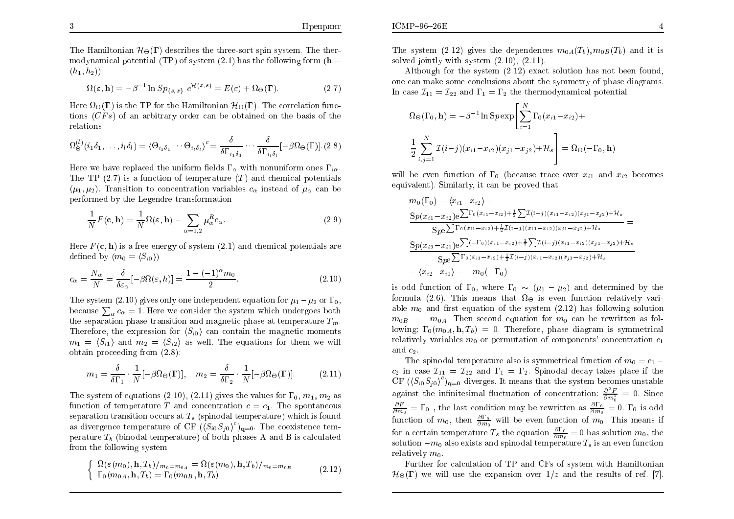The Hamiltonian  $\mathcal{H}_{\Theta}(\Gamma)$  describes the three-sort spin system. The thermodynamical potential (TP) of system (2.1) has the following form ( $\mathbf{h} =$  $(h_1, h_2)$ 

$$
\Omega(\varepsilon, \mathbf{h}) = -\beta^{-1} \ln Sp_{\{s, x\}} \ e^{\mathcal{H}(x, s)} = E(\varepsilon) + \Omega_{\Theta}(\mathbf{\Gamma}). \tag{2.7}
$$

Here  $\Omega_{\Theta}(\Gamma)$  is the TP for the Hamiltonian  $\mathcal{H}_{\Theta}(\Gamma)$ . The correlation functions  $(CFs)$  of an arbitrary order can be obtained on the basis of the relations

$$
\Omega_{\Theta}^{(l)}(i_1 \delta_1, \dots, i_l \delta_l) = \langle \Theta_{i_1 \delta_1} \cdots \Theta_{i_l \delta_l} \rangle^c = \frac{\delta}{\delta \Gamma_{i_1 \delta_1}} \cdots \frac{\delta}{\delta \Gamma_{i_l \delta_l}} [-\beta \Omega_{\Theta}(\Gamma)]. \tag{2.8}
$$

Here we have replaced the uniform fields  $\Gamma_{\alpha}$  with nonuniform ones  $\Gamma_{i\alpha}$ .<br>The TD (2.7) is a function of termograture (T) and shamical potentials The TP  $(2.7)$  is a function of temperature  $(T)$  and chemical potentials  $(\mu_1, \mu_2)$ . Transition to concentration variables  $c_{\alpha}$  instead of  $\mu_{\alpha}$  can be performed by the Legendre transformation

$$
\frac{1}{N}F(\mathbf{c}, \mathbf{h}) = \frac{1}{N}\Omega(\varepsilon, \mathbf{h}) - \sum_{\alpha=1,2} \mu_{\alpha}^{R} c_{\alpha}.
$$
\n(2.9)

Here  $F(\mathbf{c}, \mathbf{h})$  is a free energy of system (2.1) and chemical potentials are defined by  $(m_0 = \langle S_{i0} \rangle)$ 

$$
c_{\alpha} = \frac{N_{\alpha}}{N} = \frac{\delta}{\delta \varepsilon_{\alpha}} [-\beta \Omega(\varepsilon, h)] = \frac{1 - (-1)^{\alpha} m_0}{2}.
$$
\n(2.10)

The system  $(2.10)$  gives only one independent equation for  $\mu_1 - \mu_2$  or  $\Gamma_0$ ,<br>because  $\sum_{n=1}^{\infty}$  1. Here we consider the system which undergoes hother because  $\sum_{\alpha} c_{\alpha} = 1$ . Here we consider the system which undergoes both the concretion phase transition and magnetic phase at temperature  $T$ . the separation phase transition and magnetic phase at temperature  $T_m$ . Therefore, the expression for  $\langle S_{i0} \rangle$  can contain the magnetic moments  $m_1 = \langle S_{i1} \rangle$  and  $m_2 = \langle S_{i2} \rangle$  as well. The equations for them we will obtain proceeding from (2.8):

$$
m_1 = \frac{\delta}{\delta \Gamma_1} \cdot \frac{1}{N} [-\beta \Omega_{\Theta}(\mathbf{\Gamma})], \quad m_2 = \frac{\delta}{\delta \Gamma_2} \cdot \frac{1}{N} [-\beta \Omega_{\Theta}(\mathbf{\Gamma})]. \tag{2.11}
$$

The system of equations  $(2.10)$ ,  $(2.11)$  gives the values for  $\Gamma_0$ ,  $m_1$ ,  $m_2$  as function of temperature T and concentration  $c = c_1$ . The spontaneous separation transition occurs at  $T_s$  (spinodal temperature) which is found as divergence temperature of CF  $((S_{i0}S_{j0})^c)_{\mathbf{q}=0}$ . The coexistence temperature  $T_b$  (binodal temperature) of both phases A and B is calculated from the following system

$$
\begin{cases} \Omega(\varepsilon(m_0), \mathbf{h}, T_b)/_{m_0 = m_{0A}} = \Omega(\varepsilon(m_0), \mathbf{h}, T_b)/_{m_0 = m_{0B}} \\ \Gamma_0(m_{0A}, \mathbf{h}, T_b) = \Gamma_0(m_{0B}, \mathbf{h}, T_b) \end{cases} \tag{2.12}
$$

The system  $(2.12)$  gives the dependences  $m_{0A}(T_b), m_{0B}(T_b)$  and it is solved jointly with system  $(2.10)$ ,  $(2.11)$ .

Although for the system  $(2.12)$  exact solution has not been found, one can make some conclusions about the symmetry of <sup>p</sup>hase diagrams. In case  $\mathcal{I}_{11} = \mathcal{I}_{22}$  and  $\Gamma_1 = \Gamma_2$  the thermodynamical potential

$$
\Omega_{\Theta}(\Gamma_{0}, \mathbf{h}) = -\beta^{-1} \ln Sp \exp \left[ \sum_{i=1}^{N} \Gamma_{0}(x_{i1} - x_{i2}) + \frac{1}{2} \sum_{i,j=1}^{N} \mathcal{I}(i-j)(x_{i1} - x_{i2})(x_{j1} - x_{j2}) + \mathcal{H}_{s} \right] = \Omega_{\Theta}(-\Gamma_{0}, \mathbf{h})
$$

will be even function of  $\Gamma_0$  (because trace over  $x_{i1}$  and  $x_{i2}$  becomes equivalent). Similarly, it can be pro ved that

$$
m_0(\Gamma_0) = \langle x_{i1} - x_{i2} \rangle =
$$
  
\n
$$
\frac{Sp(x_{i1} - x_{i2})e^{\sum \Gamma_0(x_{i1} - x_{i2}) + \frac{1}{2}\sum \mathcal{I}(i-j)(x_{i1} - x_{i2})(x_{j1} - x_{j2}) + \mathcal{H}_s}}{Spe^{\sum \Gamma_0(x_{i1} - x_{i2}) + \frac{1}{2}\mathcal{I}(i-j)(x_{i1} - x_{i2})(x_{j1} - x_{j2}) + \mathcal{H}_s}}
$$
  
\n
$$
\frac{Sp(x_{i2} - x_{i1})e^{\sum (-\Gamma_0)(x_{i1} - x_{i2}) + \frac{1}{2}\sum \mathcal{I}(i-j)(x_{i1} - x_{i2})(x_{j1} - x_{j2}) + \mathcal{H}_s}}{Spe^{\sum \Gamma_0(x_{i1} - x_{i2}) + \frac{1}{2}\mathcal{I}(i-j)(x_{i1} - x_{i2})(x_{j1} - x_{j2}) + \mathcal{H}_s}}
$$
  
\n
$$
= \langle x_{i2} - x_{i1} \rangle = -m_0(-\Gamma_0)
$$

is odd function of  $\Gamma_0$ , where  $\Gamma_0 \sim (\mu_1 - \mu_2)$  and determined by the formula (2.6). This means that  $\Omega_{\Theta}$  is even function relatively variable  $m_0$  and first equation of the system  $(2.12)$  has following solution  $m_{0B} = -m_{0A}$ . Then second equation for  $m_0$  can be rewritten as following:  $\Gamma_0(m_{0A}, \mathbf{h}, T_b) = 0$ . Therefore, phase diagram is symmetrical<br>relatively equipples  $m$ , as parameterian of components' equantuation as relatively variables  $m_0$  or permutation of components' concentration  $c_1$ and  $c_2$ .

The spinodal temperature also is symmetrical function of  $m_0 = c_1$  $c_2$  in case  $\mathcal{I}_{11} = \mathcal{I}_{22}$  and  $\Gamma_1 = \Gamma_2$ . Spinodal decay takes place if the CF  $(\langle S_{i0}S_{j0}\rangle^c)_{\mathbf{q}=0}$  diverges. It means that the system becomes unstable against the infinitesimal fluctuation of concentration:  $\frac{\partial^2 F}{\partial m_0^2} = 0$ . Since  $\frac{\partial F}{\partial m_0} = \Gamma_0$ , the last condition may be rewritten as  $\frac{\partial \Gamma_0}{\partial m_0} = 0$ .  $\Gamma_0$  is odd function of  $m_0$ , then  $\frac{\partial \Gamma_0}{\partial m_0}$  will be even function of  $m_0$ . This means if for a certain temperature  $T_s$  the equation  $\frac{\partial \Gamma_0}{\partial m_0} = 0$  has solution  $m_0$ , the solution  $-m_0$  also exists and spinodal temperature  $T_s$  is an even function relatively  $m_0$ .

Further for calculation of TP and CFs of system with Hamiltonian  $\mathcal{H}_{\Theta}(\Gamma)$  we will use the expansion over  $1/z$  and the results of ref. [7].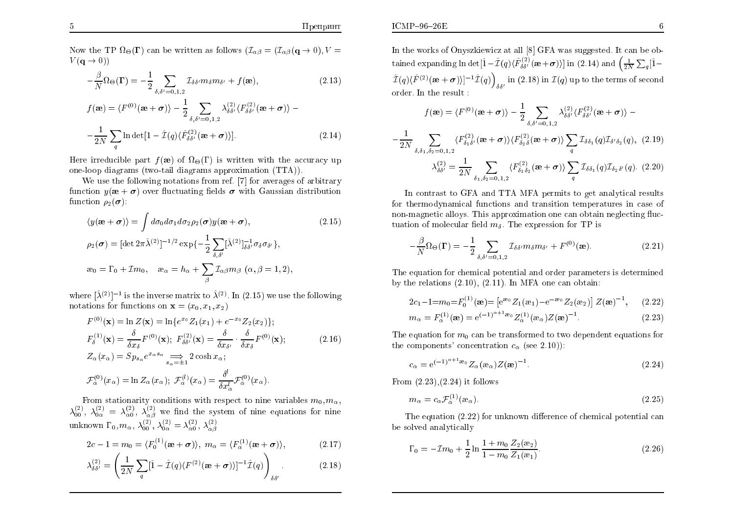$ICMP-96-26E$ 

Now the TP  $\Omega_{\Theta}(\mathbf{\Gamma})$  can be written as follows  $(\mathcal{I}_{\alpha\beta})=(\mathcal{I}_{\alpha\beta}(\mathbf{q}\to 0),V=V(\mathbf{q}\to 0))$  $V({\bf q}\rightarrow 0)$ )

$$
-\frac{\beta}{N}\Omega_{\Theta}(\mathbf{\Gamma}) = -\frac{1}{2} \sum_{\delta,\delta'=0,1,2} \mathcal{I}_{\delta\delta'} m_{\delta} m_{\delta'} + f(\mathbf{\mathbf{\hat{e}}}), \qquad (2.13)
$$

$$
f(\mathbf{\mathbf{\hat{x}}}) = \langle F^{(0)}(\mathbf{\mathbf{\hat{x}}} + \boldsymbol{\sigma}) \rangle - \frac{1}{2} \sum_{\delta, \delta' = 0, 1, 2} \lambda_{\delta \delta'}^{(2)} \langle F_{\delta \delta'}^{(2)}(\mathbf{\mathbf{\hat{x}}} + \boldsymbol{\sigma}) \rangle -
$$

$$
-\frac{1}{2N} \sum_{q} \ln \det[1 - \hat{\mathcal{I}}(q) \langle \hat{F}_{\delta \delta'}^{(2)}(\mathbf{\mathbf{\hat{x}}} + \boldsymbol{\sigma}) \rangle]. \tag{2.14}
$$

Here irreducible part  $f(\mathbf{\hat{x}})$  of  $\Omega_{\Theta}(\Gamma)$  is written with the accuracy up one-loop diagrams (t wo-tail diagrams approximation (TTA)).

We use the following notations from ref. [7] for averages of arbitrary<br>  $\lim_{n \to \infty} u(n + \tau)$  aver fluctuation fields  $\tau$  with Constitution distribution function  $y(\mathbf{a} + \boldsymbol{\sigma})$  over fluctuating fields  $\boldsymbol{\sigma}$  with Gaussian distribution function  $\rho_2(\boldsymbol{\sigma})$ :

$$
\langle y(\mathbf{\mathbf{\alpha}} + \boldsymbol{\sigma}) \rangle = \int d\sigma_0 d\sigma_1 d\sigma_2 \rho_2(\boldsymbol{\sigma}) y(\mathbf{\mathbf{\alpha}} + \boldsymbol{\sigma}), \qquad (2.15)
$$
  
\n
$$
\rho_2(\boldsymbol{\sigma}) = [\det 2\pi \hat{\lambda}^{(2)}]^{-1/2} \exp\{-\frac{1}{2} \sum_{\delta,\delta'} [\hat{\lambda}^{(2)}]^{-1}_{\delta\delta'} \sigma_\delta \sigma_{\delta'}\},
$$
  
\n
$$
\mathbf{\alpha}_0 = \Gamma_0 + \mathcal{I}m_0, \quad \mathbf{\alpha}_\alpha = h_\alpha + \sum_\beta \mathcal{I}_{\alpha\beta} m_\beta \ (\alpha, \beta = 1, 2),
$$

where  $[\hat{\lambda}^{(2)}]^{-1}$  is the inverse matrix to  $\hat{\lambda}^{(2)}$ . In (2.15) we use the following notations for functions on  $\mathbf{x} = (x_0, x_1, x_2)$ 

$$
F^{(0)}(\mathbf{x}) = \ln Z(\mathbf{x}) = \ln \{e^{x_0} Z_1(x_1) + e^{-x_0} Z_2(x_2)\};
$$
  
\n
$$
F^{(1)}_{\delta}(\mathbf{x}) = \frac{\delta}{\delta x_{\delta}} F^{(0)}(\mathbf{x}); \ F^{(2)}_{\delta\delta'}(\mathbf{x}) = \frac{\delta}{\delta x_{\delta'}} \cdot \frac{\delta}{\delta x_{\delta}} F^{(0)}(\mathbf{x});
$$
  
\n
$$
Z_{\alpha}(x_{\alpha}) = S p_{s_{\alpha}} e^{x_{\alpha} s_{\alpha}} \implies 2 \cosh x_{\alpha};
$$
  
\n
$$
\mathcal{F}^{(0)}_{\alpha}(x_{\alpha}) = \ln Z_{\alpha}(x_{\alpha}); \ \mathcal{F}^{(l)}_{\alpha}(x_{\alpha}) = \frac{\delta^{l}}{\delta x_{\alpha}^{l}} \mathcal{F}^{(0)}_{\alpha}(x_{\alpha}).
$$
\n(2.16)

From stationarity conditions with respect to nine variables  $m_0, m_\alpha$ From stationarity conditions with respect to nine variables  $m_0, m_\alpha$ ,<br>  $\lambda_{00}^{(2)}, \lambda_{0\alpha}^{(2)} = \lambda_{\alpha 0}^{(2)}, \lambda_{\beta \beta}^{(2)}$  we find the system of nine equations for nine unknown  $\Gamma_0, m_\alpha, \, \lambda_{00}^{(2)}, \, \lambda_{0\alpha}^{(2)} = \lambda_{\alpha0}^{(2)}, \, \lambda_{\alpha\beta}^{(2)}$ 

$$
2c - 1 = m_0 = \langle F_0^{(1)}(\mathbf{\mathfrak{B}} + \mathbf{\sigma}) \rangle, \ m_\alpha = \langle F_\alpha^{(1)}(\mathbf{\mathfrak{B}} + \mathbf{\sigma}) \rangle, \tag{2.17}
$$

$$
\lambda_{\delta\delta'}^{(2)} = \left(\frac{1}{2N}\sum_{q} [\hat{1} - \hat{\mathcal{I}}(q)\langle F^{(2)}(\mathbf{a}+\boldsymbol{\sigma})\rangle]^{-1}\hat{\mathcal{I}}(q)\right)_{\delta\delta'}.
$$
 (2.18)

In the works of Onyszkiewicz at all  $[8]$  GFA was suggested. It can be obtained expanding  $\ln\det[\hat{1}-\hat{\mathcal{I}}(q)\langle\hat{F}^{(2)}_{\delta\delta'}(\bm{\mathfrak{e}}+\bm{\sigma})\rangle]$  in (2.14) and  $\left(\frac{1}{2N}\sum_q[\hat{1} \hat{\mathcal{I}}(q)\langle\hat{F}^{(2)}(\bm{\mathfrak{w}}+\bm{\sigma})\rangle]^{-1}\hat{\mathcal{I}}(q)\Big)_{\delta\delta'}\text{ in (2.18) in }\mathcal{I}(q)\text{ up to the terms of second}$ order. In the result :

$$
f(\mathbf{\mathbf{\hat{x}}}) = \langle F^{(0)}(\mathbf{\mathbf{\hat{x}}} + \boldsymbol{\sigma}) \rangle - \frac{1}{2} \sum_{\delta, \delta' = 0, 1, 2} \lambda_{\delta \delta'}^{(2)} \langle F_{\delta \delta'}^{(2)}(\mathbf{\mathbf{\hat{x}}} + \boldsymbol{\sigma}) \rangle -
$$

$$
-\frac{1}{2N} \sum_{\delta, \delta_1, \delta_2 = 0, 1, 2} \langle F_{\delta_1 \delta'}^{(2)}(\mathbf{\mathbf{\hat{x}}} + \boldsymbol{\sigma}) \rangle \langle F_{\delta_2 \delta}^{(2)}(\mathbf{\mathbf{\hat{x}}} + \boldsymbol{\sigma}) \rangle \sum_{q} \mathcal{I}_{\delta \delta_1}(q) \mathcal{I}_{\delta' \delta_2}(q), \quad (2.19)
$$

$$
\lambda_{\delta \delta'}^{(2)} = \frac{1}{2N} \sum_{\delta_1, \delta_2 = 0, 1, 2} \langle F_{\delta_1 \delta_2}^{(2)}(\mathbf{\mathbf{\hat{x}}} + \boldsymbol{\sigma}) \rangle \sum_{q} \mathcal{I}_{\delta \delta_1}(q) \mathcal{I}_{\delta_2 \delta'}(q). \quad (2.20)
$$

In contrast to GFA and TT A MFA permits to ge<sup>t</sup> analytical results for thermodynamical functions and transition temperatures in case of non-magnetic alloys. This approximation one can obtain neglecting fluctuation of molecular field  $m_{\delta}$ . The expression for TP is

$$
-\frac{\beta}{N}\Omega_{\Theta}(\mathbf{\Gamma}) = -\frac{1}{2} \sum_{\delta,\delta'=0,1,2} \mathcal{I}_{\delta\delta'} m_{\delta} m_{\delta'} + F^{(0)}(\mathbf{\mathbf{\mathfrak{E}}}). \tag{2.21}
$$

The equation for chemical potential and order parameters is determined by the relations (2.10), (2.11). In MFA one can obtain:

$$
2c_1 - 1 = m_0 = F_0^{(1)}(\mathbf{x}) = \left[e^{\mathbf{x}_0} Z_1(\mathbf{x}_1) - e^{-\mathbf{x}_0} Z_2(\mathbf{x}_2)\right] Z(\mathbf{x})^{-1}, \qquad (2.22)
$$

$$
m_{\alpha} = F_{\alpha}^{(1)}(\mathbf{x}) = e^{(-1)^{\alpha+1}\mathbf{x}_0} Z_{\alpha}^{(1)}(\mathbf{x}_{\alpha}) Z(\mathbf{x})^{-1}.
$$
 (2.23)

The equation for  $m_0$  can be transformed to two dependent equations for the components' concentration  $c_{\alpha}$  (see 2.10)):

$$
c_{\alpha} = e^{(-1)^{\alpha+1}\mathfrak{w}_0} Z_{\alpha}(\mathfrak{w}_{\alpha}) Z(\mathfrak{w})^{-1}.
$$
 (2.24)

From  $(2.23),(2.24)$  it follows

$$
m_{\alpha} = c_{\alpha} \mathcal{F}_{\alpha}^{(1)}(\mathfrak{w}_{\alpha}). \tag{2.25}
$$

The equation  $(2.22)$  for unknown difference of chemical potential can be solved analytically

$$
\Gamma_0 = -\mathcal{I}m_0 + \frac{1}{2}\ln\frac{1+m_0}{1-m_0}\frac{Z_2(\mathbf{x}_2)}{Z_1(\mathbf{x}_1)}.
$$
\n(2.26)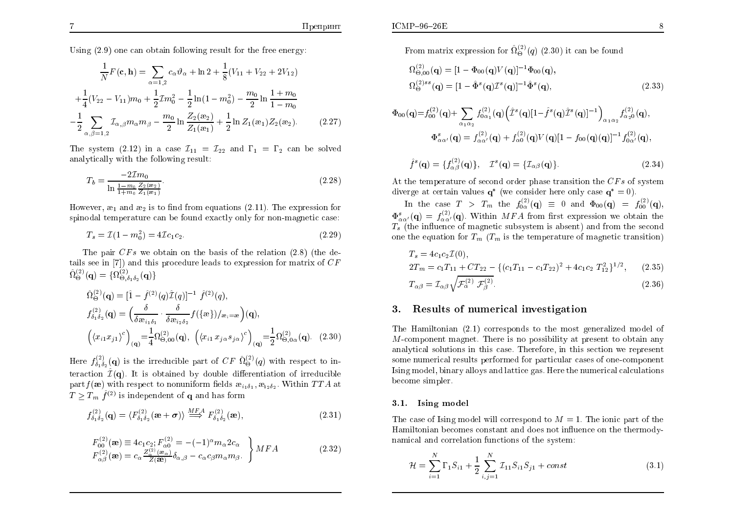Using (2.9) one can obtain following result for the free energy:

$$
\frac{1}{N}F(\mathbf{c}, \mathbf{h}) = \sum_{\alpha=1,2} c_{\alpha} \vartheta_{\alpha} + \ln 2 + \frac{1}{8}(V_{11} + V_{22} + 2V_{12})
$$

$$
+ \frac{1}{4}(V_{22} - V_{11})m_0 + \frac{1}{2}\mathcal{I}m_0^2 - \frac{1}{2}\ln(1 - m_0^2) - \frac{m_0}{2}\ln\frac{1 + m_0}{1 - m_0}
$$

$$
- \frac{1}{2}\sum_{\alpha,\beta=1,2} \mathcal{I}_{\alpha,\beta}m_{\alpha}m_{\beta} - \frac{m_0}{2}\ln\frac{Z_2(\mathbf{e}_2)}{Z_1(\mathbf{e}_1)} + \frac{1}{2}\ln Z_1(\mathbf{e}_1)Z_2(\mathbf{e}_2).
$$
(2.27)

The system  $(2.12)$  in a case  $\mathcal{I}_{11} = \mathcal{I}_{22}$  and  $\Gamma_1 = \Gamma_2$  can be solved analytically with the following result:

$$
T_b = \frac{-2\mathcal{I}m_0}{\ln\frac{1-m_0}{1+m_0}\frac{Z_2(\mathbf{x}_2)}{Z_1(\mathbf{x}_1)}}.\tag{2.28}
$$

However,  $x_1$  and  $x_2$  is to find from equations (2.11). The expression for existence of the expression for spinodal temperature can be found exactly only for non-magnetic case:

$$
T_s = \mathcal{I}(1 - m_0^2) = 4\mathcal{I}c_1c_2.
$$
\n(2.29)

The pair  $CFs$  we obtain on the basis of the relation (2.8) (the details see in [7]) and this procedure leads to expression for matrix of  $CF$  $\hat{\Omega}_{\Theta}^{(2)} (\mathbf{q}) = \{ \Omega_{\Theta, \delta_{1} \delta_{2}}^{(2)} (\mathbf{q}) \}$ 

$$
\hat{\Omega}_{\Theta}^{(2)}(\mathbf{q}) = [\hat{1} - \hat{f}^{(2)}(q)\hat{\mathcal{I}}(q)]^{-1} \hat{f}^{(2)}(q), \nf_{\delta_1\delta_2}^{(2)}(\mathbf{q}) = \left(\frac{\delta}{\delta \mathfrak{B}_{i_1\delta_1}} \cdot \frac{\delta}{\delta \mathfrak{B}_{i_2\delta_2}} f(\{\mathfrak{B}\})/_{\mathfrak{B}_i=\mathfrak{B}}\right)(\mathbf{q}), \n\left(\langle x_{i1}x_{j1}\rangle^c\right)_{(\mathbf{q})} = \frac{1}{4} \Omega_{\Theta,00}^{(2)}(\mathbf{q}), \ \left(\langle x_{i1}x_{j\alpha}s_{j\alpha}\rangle^c\right)_{(\mathbf{q})} = \frac{1}{2} \Omega_{\Theta,0\alpha}^{(2)}(\mathbf{q}). \tag{2.30}
$$

Here  $f_{\delta_1 \delta_2}^{(2)}(\mathbf{q})$  is the irreducible part of  $CF \hat{\Omega}_{\Theta}^{(2)}(q)$  with respect to interaction  $\hat{\mathcal{I}}(\mathbf{q})$ . It is obtained by double differentiation of irreducible part  $f(\mathbf{\hat{x}})$  with respect to nonuniform fields  $\mathbf{\hat{x}}_{i_1 \delta_1}, \mathbf{\hat{x}}_{i_2 \delta_2}$ . Within  $TTA$  at  $T \geq T_m$   $\hat{f}^{(2)}$  is independent of **q** and has form

$$
f_{\delta_1 \delta_2}^{(2)}(\mathbf{q}) = \langle F_{\delta_1 \delta_2}^{(2)}(\mathbf{\mathfrak{B}} + \boldsymbol{\sigma}) \rangle \stackrel{MFA}{\Longrightarrow} F_{\delta_1 \delta_2}^{(2)}(\mathbf{\mathfrak{B}}), \tag{2.31}
$$

$$
F_{00}^{(2)}(\mathbf{\mathbf{\hat{e}}}) \equiv 4c_1c_2; F_{\alpha 0}^{(2)} = -(-1)^{\alpha} m_{\alpha} 2c_{\alpha}
$$
  
\n
$$
F_{\alpha\beta}^{(2)}(\mathbf{\mathbf{\hat{e}}}) = c_{\alpha} \frac{Z_{\alpha}^{(2)}(\mathbf{\mathbf{\hat{e}}}_{\alpha})}{Z(\mathbf{\mathbf{\hat{e}}})} \delta_{\alpha,\beta} - c_{\alpha} c_{\beta} m_{\alpha} m_{\beta}.
$$
 (2.32)

From matrix expression for  $\hat{\Omega}_{\Theta}^{(2)}(q)$  (2.30) it can be found

$$
\Omega_{\Theta,00}^{(2)}(\mathbf{q}) = [1 - \Phi_{00}(\mathbf{q})V(\mathbf{q})]^{-1} \Phi_{00}(\mathbf{q}),
$$
  
\n
$$
\Omega_{\Theta}^{(2)ss}(\mathbf{q}) = [1 - \hat{\Phi}^s(\mathbf{q})\mathcal{I}^s(\mathbf{q})]^{-1} \hat{\Phi}^s(\mathbf{q}),
$$
\n(2.33)

$$
\Phi_{00}(\mathbf{q}) = f_{00}^{(2)}(\mathbf{q}) + \sum_{\alpha_1 \alpha_2} f_{0\alpha_1}^{(2)}(\mathbf{q}) \left( \hat{\mathcal{I}}^s(\mathbf{q}) [1 - \hat{f}^s(\mathbf{q}) \hat{\mathcal{I}}^s(\mathbf{q})]^{-1} \right)_{\alpha_1 \alpha_2} f_{\alpha_2 0}^{(2)}(\mathbf{q}),
$$
  

$$
\Phi_{\alpha \alpha'}^s(\mathbf{q}) = f_{\alpha \alpha'}^{(2)}(\mathbf{q}) + f_{\alpha 0}^{(2)}(\mathbf{q}) V(\mathbf{q}) [1 - f_{00}(\mathbf{q})(\mathbf{q})]^{-1} f_{0\alpha'}^{(2)}(\mathbf{q}),
$$

$$
\hat{f}^s(\mathbf{q}) = \{f_{\alpha\beta}^{(2)}(\mathbf{q})\}, \quad \mathcal{I}^s(\mathbf{q}) = \{\mathcal{I}_{\alpha\beta}(\mathbf{q})\}.
$$
\n(2.34)

At the temperature of second order phase transition the  $CFs$  of system diverge at certain values  $q^*$  (we consider here only case  $q^* = 0$ ).

 $\begin{array}{rclclcl} \text{In} & \text{the} & \text{case} & T > T_m & \text{the} & f_{0\alpha}^{(2)}(\mathbf{q}) &\equiv & 0 & \text{and} & \Phi_{00}(\mathbf{q}) & = & f_{00}^{(2)}(\mathbf{q}), \end{array}$  $\Phi_{\alpha\alpha'}^{s}(\mathbf{q}) = f_{\alpha\alpha'}^{(2)}(\mathbf{q})$ . Within MFA from first expression we obtain the  $T_{\alpha\beta'}$  (the influence of meganities uphysician is about) and from the second  $T_s$  (the influence of magnetic subsystem is absent) and from the second<br>can the severies for  $T_s$  ( $T_s$  is the term enstine of megantic transition) one the equation for  $T_m$   $(T_m$  is the temperature of magnetic transition)

$$
T_s = 4c_1c_2\mathcal{I}(0),
$$
  
\n
$$
2T_m = c_1T_{11} + CT_{22} - \{(c_1T_{11} - c_1T_{22})^2 + 4c_1c_2T_{12}^2\}^{1/2},
$$
\n(2.35)

$$
T_{\alpha\beta} = \mathcal{I}_{\alpha\beta} \sqrt{\mathcal{F}_{\alpha}^{(2)} \mathcal{F}_{\beta}^{(2)}}.
$$
\n(2.36)

#### 3.. Results of numerical investigation

The Hamiltonian (2.1) corresponds to the most generalized model of M-component magnet. There is no possibility at present to obtain any analytical solutions in this case. Therefore, in this section we represent some numerical results performed for particular cases of one-component Ising model, binary alloys and lattice gas. Here the numerical calculationsbecome simpler.

### 3.1. Ising model

The case of Ising model will correspond to  $M=1$ . The ionic part of the  $N$  Hamiltonian becomes constant and does not in
uence on the thermodynamical and correlation functions of the system:

$$
\mathcal{H} = \sum_{i=1}^{N} \Gamma_1 S_{i1} + \frac{1}{2} \sum_{i,j=1}^{N} \mathcal{I}_{11} S_{i1} S_{j1} + const
$$
\n(3.1)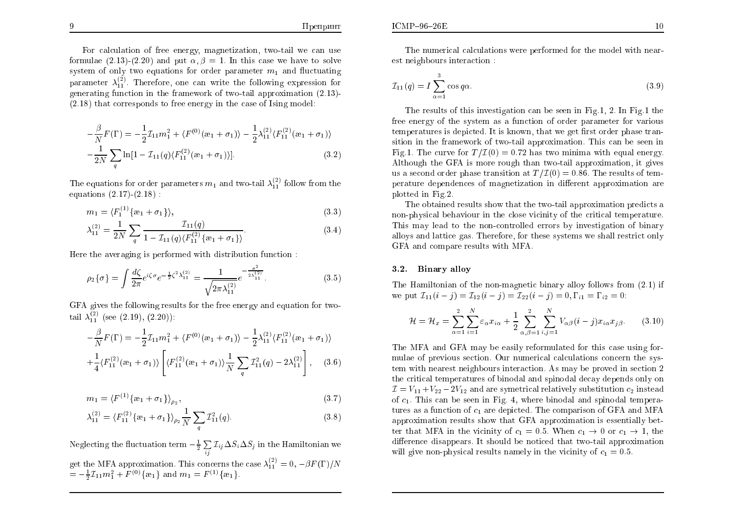For calculation of free energy, magnetization, two-tail we can use formulae  $(2.13)-(2.20)$  and put  $\alpha, \beta = 1$ . In this case we have to solve system of only two equations for order parameter  $m_1$  and fluctuating parameter  $\lambda_{11}^{(2)}$ . Therefore, one can write the following expression for generating function in the framework of two-tail approximation (2.13)- (2.18) that corresponds to free energy in the case of Ising model:

$$
-\frac{\beta}{N}F(\Gamma) = -\frac{1}{2}\mathcal{I}_{11}m_1^2 + \langle F^{(0)}(\mathbf{a}_1 + \sigma_1) \rangle - \frac{1}{2}\lambda_{11}^{(2)}\langle F_{11}^{(2)}(\mathbf{a}_1 + \sigma_1) \rangle - \frac{1}{2N}\sum_{q} \ln[1 - \mathcal{I}_{11}(q)\langle F_{11}^{(2)}(\mathbf{a}_1 + \sigma_1) \rangle].
$$
\n(3.2)

The equations for order parameters  $m_1$  and two-tail  $\lambda_{11}^{(2)}$  follow from the equations (2.17)-(2.18) :

$$
m_1 = \langle F_1^{(1)} \{ \mathbf{e}_1 + \sigma_1 \} \rangle, \tag{3.3}
$$

$$
\lambda_{11}^{(2)} = \frac{1}{2N} \sum_{q} \frac{\mathcal{I}_{11}(q)}{1 - \mathcal{I}_{11}(q) \langle F_{11}^{(2)} \{ \mathbf{a}_1 + \sigma_1 \} \rangle}.
$$
 (3.4)

Here the averaging is performed with distribution function :

$$
\rho_2\{\sigma\} = \int \frac{d\zeta}{2\pi} e^{i\zeta\sigma} e^{-\frac{1}{2}\zeta^2 \lambda_{11}^{(2)}} = \frac{1}{\sqrt{2\pi\lambda_{11}^{(2)}}} e^{-\frac{\sigma^2}{2\lambda_{11}^{(2)}}}.
$$
\n(3.5)

GFA gives the following results for the free energy and equation for two-<br> $\frac{(2)(1+1)(2)}{(2+1)(2+1)}$ tail  $\lambda_{11}^{(2)}$  (see (2.19), (2.20)):

$$
-\frac{\beta}{N}F(\Gamma) = -\frac{1}{2}\mathcal{I}_{11}m_1^2 + \langle F^{(0)}(\mathbf{a}_1 + \sigma_1) \rangle - \frac{1}{2}\lambda_{11}^{(2)}\langle F_{11}^{(2)}(\mathbf{a}_1 + \sigma_1) \rangle
$$
  
+ 
$$
\frac{1}{4}\langle F_{11}^{(2)}(\mathbf{a}_1 + \sigma_1) \rangle \left[ \langle F_{11}^{(2)}(\mathbf{a}_1 + \sigma_1) \rangle \frac{1}{N} \sum_q \mathcal{I}_{11}^2(q) - 2\lambda_{11}^{(2)} \right], \quad (3.6)
$$

$$
m_1 = \langle F^{(1)}\{x_1 + \sigma_1\}\rangle_{\rho_2},\tag{3.7}
$$

$$
\lambda_{11}^{(2)} = \langle F_{11}^{(2)} \{ \mathbf{a}_1 + \sigma_1 \} \rangle_{\rho_2} \frac{1}{N} \sum_{q} \mathcal{I}_{11}^2(q). \tag{3.8}
$$

Neglecting the fluctuation term  $-\frac{1}{2}\sum\limits_{ij}\mathcal{I}_{ij}\Delta S_i\Delta S_j$  in the Hamiltonian we get the MFA approximation. This concerns the case  $\lambda_{11}^{(2)} = 0, -\beta F(\Gamma)/N$  $=-\frac{1}{2}\mathcal{I}_{11}m_1^2 + F^{(0)}\{\omega_1\}$  and  $m_1 = F^{(1)}\{\omega_1\}.$ 

The numerical calculations were performed for the model with nearest neighbours interaction :

$$
\mathcal{I}_{11}(q) = I \sum_{\alpha=1}^{3} \cos q \alpha. \tag{3.9}
$$

The results of this investigation can be seen in Fig.1, 2. In Fig.1 the free energy of the system as a function of order parameter for various<br>temperatures is depicted. It is known, that we get first ender phase trap  $\epsilon$  temperatures is depicted. It is known, that we get first order phase  $\mathrm{tran}$ sition in the framework of two-tail approximation. This can be seen in Fig.1. The curve for  $T/\mathcal{I}(0)= 0.72$  has two minima with equal energy. Although the GFA is more rough than two-tail approximation, it gives us a second order phase transition at  $T/\mathcal{I}(0) = 0.86$ . The results of tem-<br>results of the redefinition in the different areas institutions on perature dependences of magnetization in different approximation are plotted in Fig.2.

The obtained results sho w that the two-tail approximation predicts a non-physical behaviour in the close vicinit y of the critical temperature. This may lead to the non-controlled errors by investigation of binary alloys and lattice gas. Therefore, for these systems we shall restrict onlyGFA and compare results with MFA.

### 3.2. Binary allo y

The Hamiltonian of the non-magnetic binary alloy follows from  $(2.1)$  if we put  $\mathcal{I}_{11}(i-j) = \mathcal{I}_{12}(i-j) = \mathcal{I}_{22}(i-j) = 0, \Gamma_{i1} = \Gamma_{i2} = 0$ :

$$
\mathcal{H} = \mathcal{H}_x = \sum_{\alpha=1}^2 \sum_{i=1}^N \varepsilon_\alpha x_{i\alpha} + \frac{1}{2} \sum_{\alpha,\beta=1}^2 \sum_{i,j=1}^N V_{\alpha\beta} (i-j) x_{i\alpha} x_{j\beta}.
$$
 (3.10)

The MFA and GFA ma y be easily reformulated for this case using formulae of previous section. Our numerical calculations concern the system with nearest neighbours interaction. As may be proved in section 2<br>the exities temperatures of binadel and eximadel decay depends only an the critical temperatures of binodal and spinodal deca y depends only on $\mathcal{I}=V_{11}+V_{22}-2V_{12}$  and are symetrical relatively substitution  $c_2$  instead of  $c_1$ . This can be seen in Fig. 4, where binodal and spinodal temperatures as a function of  $c_1$  are depicted. The comparison of GFA and MFA approximation results sho w that GFA approximation is essentially better that MFA in the vicinity of  $c_1 = 0.5$ . When  $c_1 \rightarrow 0$  or  $c_1 \rightarrow 1$ , the difference disappears. It should be noticed that two-tail approximation difference disappears. It should be noticed that two-tail approximation will give non-physical results namely in the vicinity of  $c_1 = 0.5$ .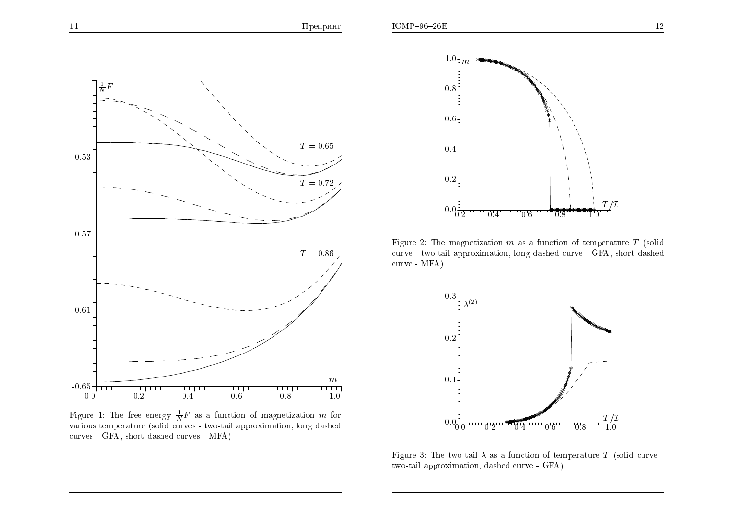



Figure 1: The free energy  $\frac{1}{N}F$  as a function of magnetization m for the various temperature (solid curves - two-tail approximation, long dashed various temperature (solid curves - two-tail approximation, long dashed curves - GFA, short dashed curves - MFA)



Figure 2: The magnetization m as a function of temperature  $T$  (solid<br>curve, two tail approximation long dashed surve,  $CFA$  short dashed curve - two-tail approximation, long dashed curve - GFA, short dashed curve - MFA)



Figure 3: The two tail  $\lambda$  as a function of temperature T (solid curve two-tail approximation, dashed curve - GFA)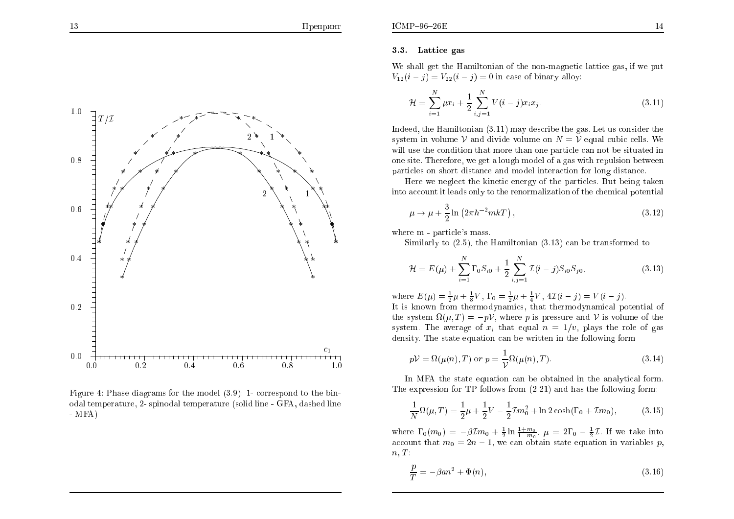

Figure 4: Phase diagrams for the model (3.9): 1- correspond to the binodal temperature, 2- spinodal temperature (solid line - GFA, dashed line - MFA)

### 3.3. Lattice gas

We shall ge<sup>t</sup> the Hamiltonian of the non-magnetic lattice gas, if we put  $V_{12}(i - j) = V_{22}(i - j) = 0$  in case of binary alloy:

$$
\mathcal{H} = \sum_{i=1}^{N} \mu x_i + \frac{1}{2} \sum_{i,j=1}^{N} V(i-j) x_i x_j.
$$
 (3.11)

Indeed, the Hamiltonian (3.11) may describe the gas. Let us consider the system in volume  $V$  and divide volume on  $N = V$  equal cubic cells. We<br>ill use the condition that were then are negative sound the situated in will use the condition that more than one particle can not be situated in one site. Therefore, we ge<sup>t</sup> <sup>a</sup> lough model of <sup>a</sup> gas with repulsion between particles on short distance and model interaction for long distance.

Here we neglect the kinetic energy of the particles. But being takeninto account it leads only to the renormalization of the chemical potential

$$
\mu \to \mu + \frac{3}{2} \ln \left( 2\pi h^{-2} m k \right),\tag{3.12}
$$

where  $m$  - particle's mass.<br>Cimilarly to  $(2,5)$ , the

Similarly to (2.5), the Hamiltonian (3.13) can be transformed to

$$
\mathcal{H} = E(\mu) + \sum_{i=1}^{N} \Gamma_0 S_{i0} + \frac{1}{2} \sum_{i,j=1}^{N} \mathcal{I}(i-j) S_{i0} S_{j0}, \qquad (3.13)
$$

where  $E(\mu) = \frac{1}{2}\mu + \frac{1}{8}V$ ,  $\Gamma_0 = \frac{1}{2}\mu + \frac{1}{4}V$ ,  $4\mathcal{I}(i - j) = V(i - j)$ . It is known from thermodynamics, that thermodynamical potential of<br>the system  $Q(u, T) = v$ , where r is pressure and  $\mathcal{V}$  is values of the the system  $\Omega(\mu, T) = -pV$ , where p is pressure and V is volume of the system. The argue of space is the relationship system. The average of  $x_i$  that equal  $n = 1/v$ , plays the role of gas density. The state equation can be written in the following form

$$
pV = \Omega(\mu(n), T) \text{ or } p = \frac{1}{V}\Omega(\mu(n), T). \tag{3.14}
$$

In MFA the state equation can be obtained in the analytical form. The expression for TP follows from (2.21) and has the following form:

$$
\frac{1}{N}\Omega(\mu, T) = \frac{1}{2}\mu + \frac{1}{2}V - \frac{1}{2}\mathcal{I}m_0^2 + \ln 2\cosh(\Gamma_0 + \mathcal{I}m_0),\tag{3.15}
$$

where  $\Gamma_0(m_0) = -\beta \mathcal{I}m_0 + \frac{1}{2} \ln \frac{1+m_0}{1-m_0}$ ,  $\mu = 2\Gamma_0 - \frac{1}{2}\mathcal{I}$ . If we take into account that  $m_0 = 2n - 1$ , we can obtain state equation in variables p,  $n, T$ :

$$
\frac{p}{T} = -\beta a n^2 + \Phi(n),\tag{3.16}
$$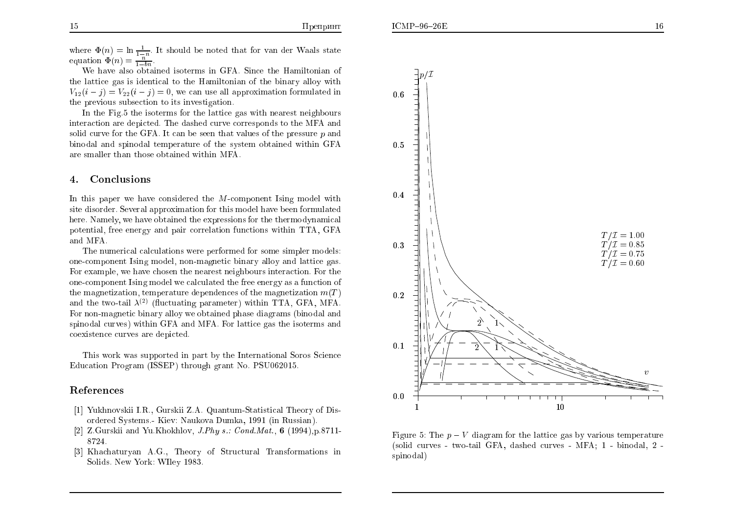where  $\Phi(n) = \ln \frac{1}{1-n}$ . It should be noted that for van der Waals state equation  $\Phi(n) = \frac{n}{1-bn}$ 

We have also obtained isoterms in GFA. Since the Hamiltonian of the lattice gas is identical to the Hamiltonian of the binary alloy with  $V_{12}(i - j) = V_{22}(i - j) = 0$ , we can use all approximation formulated in the previous subsection to its investigation.

In the Fig.5 the isoterms for the lattice gas with nearest neighbours interaction are depicted. The dashed curve corresponds to the MFA and solid curve for the GFA. It can be seen that values of the pressure  $p$  and binodal and spinodal temperature of the system obtained within GFA<br>are smaller than these abtained within MFA are smaller than those obtained within MFA.

#### 4.Conclusions

In this paper we have considered the M-component Ising model with site disorder. Several approximation for this model have been formulated here. Namely, we have obtained the expressions for the thermodynamical potential, free energy and pair correlation functions within TTA, GFAand MFA.

The numerical calculations were performed for some simpler models: one-component Ising model, non-magnetic binary alloy and lattice gas. For example, we have chosen the nearest neighbours interaction. For the one-component Ising model we calculated the free energy as <sup>a</sup> function of the magnetization, temperature dependences of the magnetization  $m(T)$ and the two-tail  $\lambda^{(2)}$  (fluctuating parameter) within TTA, GFA, MFA. For non-magnetic binary alloy we obtained <sup>p</sup>hase diagrams (binodal and spinodal curves) within GFA and MFA. For lattice gas the isoterms and  $\frac{1}{2}$ coexistence curves are depicted.

This work was supported in part by the International Soros Science Education Program (ISSEP) through gran<sup>t</sup> No. PSU062015.

### References

- [1] Yukhnovskii I.R., Gurskii Z.A. Quantum-Statistical Theory of Disordered Systems.- Kiev: Naukova Dumka, <sup>1991</sup> (in Russian).
- [2] Z.Gurskii and Yu.Khokhlov, *J.Phy s.: Cond.Mat.*, **6** (1994),p.8711-8724.
- [3] Khachaturyan A.G., Theory of Structural Transformations in Solids. New York: WIley 1983.





Figure 5: The  $p - V$  diagram for the lattice gas by various temperature<br>(calid annument true toil CEA deched annument MEA, 1, hinedal 2, (solid curves - two-tail GFA, dashed curves - MFA; <sup>1</sup> - binodal, <sup>2</sup> spinodal)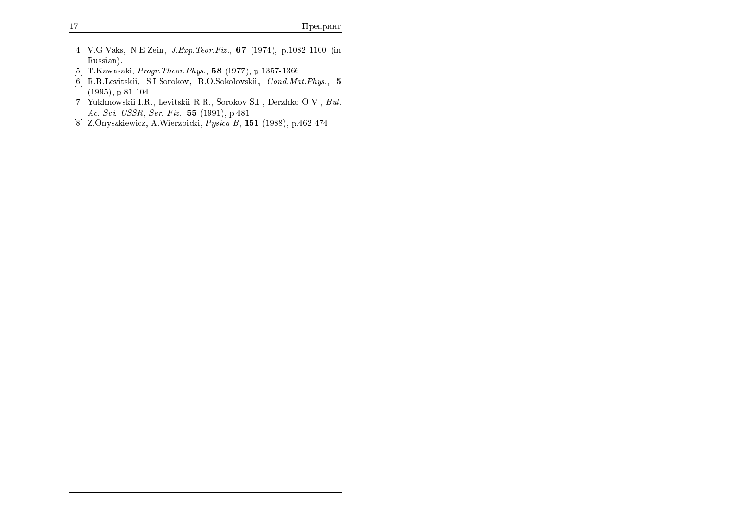- $[4]$  V.G.Vaks, N.E.Zein, *J.Exp.Teor.Fiz.*, **67** (1974), p.1082-1100 (in Russian).
- [5] T.Kawasaki, *Progr. Theor. Phys.*, 58 (1977), p.1357-1366
- [6] R.R.Levitskii, S.I.Sorokov, R.O.Sokolovskii, Cond.Mat.Phys., <sup>5</sup>(1995), p.81-104.
- [7] Yukhnowskii I.R., Levitskii R.R., Sorokov S.I., Derzhko O.V., Bul. Ac. Sci. USSR, Ser. Fiz., <sup>55</sup> (1991), p.481.
- [8] Z.Onyszkiewicz, A.Wierzbicki, Pysica B, <sup>151</sup> (1988), p.462-474.